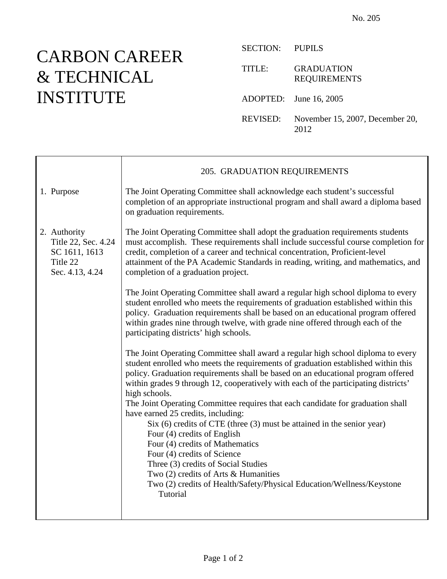## CARBON CAREER & TECHNICAL INSTITUTE

Τ

| SECTION: PUPILS |                                          |
|-----------------|------------------------------------------|
| TITLE:          | <b>GRADUATION</b><br><b>REQUIREMENTS</b> |
|                 | ADOPTED: June 16, 2005                   |
| REVISED:        | November 15, 2007, December 20,<br>2012  |

|                                                                                     | 205. GRADUATION REQUIREMENTS                                                                                                                                                                                                                                                                                                                                                          |
|-------------------------------------------------------------------------------------|---------------------------------------------------------------------------------------------------------------------------------------------------------------------------------------------------------------------------------------------------------------------------------------------------------------------------------------------------------------------------------------|
| 1. Purpose                                                                          | The Joint Operating Committee shall acknowledge each student's successful<br>completion of an appropriate instructional program and shall award a diploma based<br>on graduation requirements.                                                                                                                                                                                        |
| 2. Authority<br>Title 22, Sec. 4.24<br>SC 1611, 1613<br>Title 22<br>Sec. 4.13, 4.24 | The Joint Operating Committee shall adopt the graduation requirements students<br>must accomplish. These requirements shall include successful course completion for<br>credit, completion of a career and technical concentration, Proficient-level<br>attainment of the PA Academic Standards in reading, writing, and mathematics, and<br>completion of a graduation project.      |
|                                                                                     | The Joint Operating Committee shall award a regular high school diploma to every<br>student enrolled who meets the requirements of graduation established within this<br>policy. Graduation requirements shall be based on an educational program offered<br>within grades nine through twelve, with grade nine offered through each of the<br>participating districts' high schools. |
|                                                                                     | The Joint Operating Committee shall award a regular high school diploma to every<br>student enrolled who meets the requirements of graduation established within this<br>policy. Graduation requirements shall be based on an educational program offered<br>within grades 9 through 12, cooperatively with each of the participating districts'<br>high schools.                     |
|                                                                                     | The Joint Operating Committee requires that each candidate for graduation shall<br>have earned 25 credits, including:<br>$Six (6)$ credits of CTE (three $(3)$ must be attained in the senior year)<br>Four (4) credits of English                                                                                                                                                    |
|                                                                                     | Four (4) credits of Mathematics                                                                                                                                                                                                                                                                                                                                                       |
|                                                                                     | Four (4) credits of Science<br>Three (3) credits of Social Studies                                                                                                                                                                                                                                                                                                                    |
|                                                                                     | Two $(2)$ credits of Arts & Humanities                                                                                                                                                                                                                                                                                                                                                |
|                                                                                     | Two (2) credits of Health/Safety/Physical Education/Wellness/Keystone<br>Tutorial                                                                                                                                                                                                                                                                                                     |
|                                                                                     |                                                                                                                                                                                                                                                                                                                                                                                       |